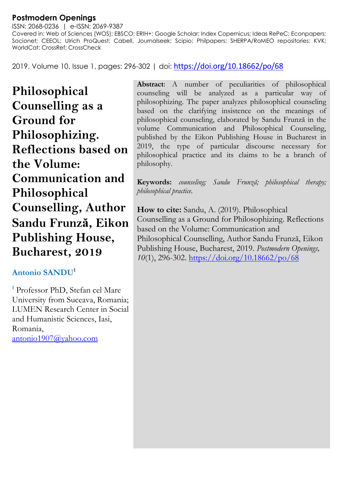# **Postmodern Openings**

ISSN: 2068-0236 | e-ISSN: 2069-9387 Covered in: Web of Sciences (WOS); EBSCO; ERIH+; Google Scholar; Index Copernicus; Ideas RePeC; Econpapers; Socionet; CEEOL; Ulrich ProQuest; Cabell, Journalseek; Scipio; Philpapers; SHERPA/RoMEO repositories; KVK; WorldCat; CrossRef; CrossCheck

2019, Volume 10, Issue 1, pages: 296-302 | doi: https://doi.org/10.18662/po/68

**Philosophical Counselling as a Ground for Philosophizing. Reflections based on the Volume: Communication and Philosophical Counselling, Author Sandu Frunză, Eikon Publishing House, Bucharest, 2019**

# **Antonio SANDU1**

**<sup>1</sup>** Professor PhD, Stefan cel Mare University from Suceava, Romania; LUMEN Research Center in Social and Humanistic Sciences, Iasi, Romania, antonio1907@yahoo.com

**Abstract**: A number of peculiarities of philosophical counseling will be analyzed as a particular way of philosophizing. The paper analyzes philosophical counseling based on the clarifying insistence on the meanings of philosophical counseling, elaborated by Sandu Frunză in the volume Communication and Philosophical Counseling, published by the Eikon Publishing House in Bucharest in 2019, the type of particular discourse necessary for philosophical practice and its claims to be a branch of philosophy.

**Keywords:** *counseling; Sandu Frunză; philosophical therapy; philosophical practice.*

**How to cite:** Sandu, A. (2019). Philosophical Counselling as a Ground for Philosophizing. Reflections based on the Volume: Communication and Philosophical Counselling, Author Sandu Frunză, Eikon Publishing House, Bucharest, 2019. *Postmodern Openings, 10*(1), 296-302. https://doi.org/10.18662/po/68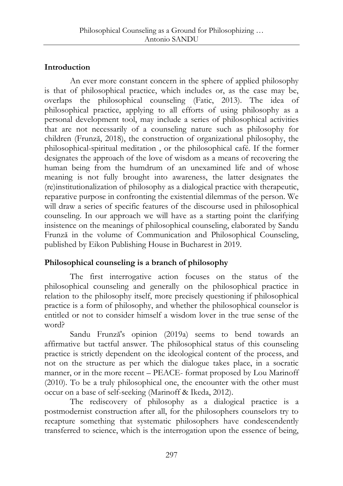## **Introduction**

An ever more constant concern in the sphere of applied philosophy is that of philosophical practice, which includes or, as the case may be, overlaps the philosophical counseling (Fatic, 2013). The idea of philosophical practice, applying to all efforts of using philosophy as a personal development tool, may include a series of philosophical activities that are not necessarily of a counseling nature such as philosophy for children (Frunză, 2018), the construction of organizational philosophy, the philosophical-spiritual meditation , or the philosophical café. If the former designates the approach of the love of wisdom as a means of recovering the human being from the humdrum of an unexamined life and of whose meaning is not fully brought into awareness, the latter designates the (re)institutionalization of philosophy as a dialogical practice with therapeutic, reparative purpose in confronting the existential dilemmas of the person. We will draw a series of specific features of the discourse used in philosophical counseling. In our approach we will have as a starting point the clarifying insistence on the meanings of philosophical counseling, elaborated by Sandu Frunză in the volume of Communication and Philosophical Counseling, published by Eikon Publishing House in Bucharest in 2019.

# **Philosophical counseling is a branch of philosophy**

The first interrogative action focuses on the status of the philosophical counseling and generally on the philosophical practice in relation to the philosophy itself, more precisely questioning if philosophical practice is a form of philosophy, and whether the philosophical counselor is entitled or not to consider himself a wisdom lover in the true sense of the word?

Sandu Frunză's opinion (2019a) seems to bend towards an affirmative but tactful answer. The philosophical status of this counseling practice is strictly dependent on the ideological content of the process, and not on the structure as per which the dialogue takes place, in a socratic manner, or in the more recent – PEACE- format proposed by Lou Marinoff (2010). To be a truly philosophical one, the encounter with the other must occur on a base of self-seeking (Marinoff & Ikeda, 2012).

The rediscovery of philosophy as a dialogical practice is a postmodernist construction after all, for the philosophers counselors try to recapture something that systematic philosophers have condescendently transferred to science, which is the interrogation upon the essence of being,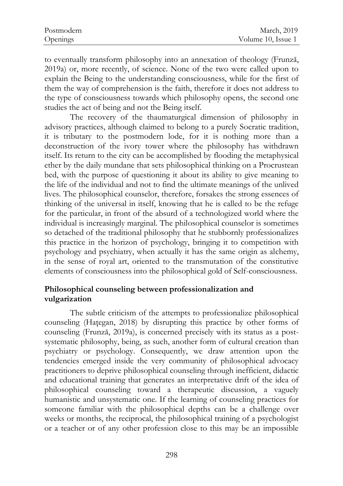| Postmodern | March, 2019        |
|------------|--------------------|
| Openings   | Volume 10, Issue 1 |

to eventually transform philosophy into an annexation of theology (Frunză, 2019a) or, more recently, of science. None of the two were called upon to explain the Being to the understanding consciousness, while for the first of them the way of comprehension is the faith, therefore it does not address to the type of consciousness towards which philosophy opens, the second one studies the act of being and not the Being itself.

The recovery of the thaumaturgical dimension of philosophy in advisory practices, although claimed to belong to a purely Socratic tradition, it is tributary to the postmodern lode, for it is nothing more than a deconstruction of the ivory tower where the philosophy has withdrawn itself. Its return to the city can be accomplished by flooding the metaphysical ether by the daily mundane that sets philosophical thinking on a Procrustean bed, with the purpose of questioning it about its ability to give meaning to the life of the individual and not to find the ultimate meanings of the unlived lives. The philosophical counselor, therefore, forsakes the strong essences of thinking of the universal in itself, knowing that he is called to be the refuge for the particular, in front of the absurd of a technologized world where the individual is increasingly marginal. The philosophical counselor is sometimes so detached of the traditional philosophy that he stubbornly professionalizes this practice in the horizon of psychology, bringing it to competition with psychology and psychiatry, when actually it has the same origin as alchemy, in the sense of royal art, oriented to the transmutation of the constitutive elements of consciousness into the philosophical gold of Self-consciousness.

### **Philosophical counseling between professionalization and vulgarization**

The subtle criticism of the attempts to professionalize philosophical counseling (Haţegan, 2018) by disrupting this practice by other forms of counseling (Frunză, 2019a), is concerned precisely with its status as a postsystematic philosophy, being, as such, another form of cultural creation than psychiatry or psychology. Consequently, we draw attention upon the tendencies emerged inside the very community of philosophical advocacy practitioners to deprive philosophical counseling through inefficient, didactic and educational training that generates an interpretative drift of the idea of philosophical counseling toward a therapeutic discussion, a vaguely humanistic and unsystematic one. If the learning of counseling practices for someone familiar with the philosophical depths can be a challenge over weeks or months, the reciprocal, the philosophical training of a psychologist or a teacher or of any other profession close to this may be an impossible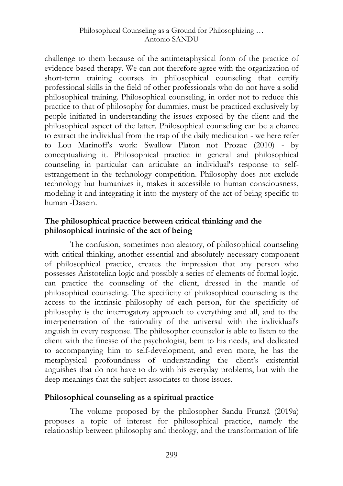challenge to them because of the antimetaphysical form of the practice of evidence-based therapy. We can not therefore agree with the organization of short-term training courses in philosophical counseling that certify professional skills in the field of other professionals who do not have a solid philosophical training. Philosophical counseling, in order not to reduce this practice to that of philosophy for dummies, must be practiced exclusively by people initiated in understanding the issues exposed by the client and the philosophical aspect of the latter. Philosophical counseling can be a chance to extract the individual from the trap of the daily medication - we here refer to Lou Marinoff's work: Swallow Platon not Prozac (2010) - by conceptualizing it. Philosophical practice in general and philosophical counseling in particular can articulate an individual's response to selfestrangement in the technology competition. Philosophy does not exclude technology but humanizes it, makes it accessible to human consciousness, modeling it and integrating it into the mystery of the act of being specific to human -Dasein.

## **The philosophical practice between critical thinking and the philosophical intrinsic of the act of being**

The confusion, sometimes non aleatory, of philosophical counseling with critical thinking, another essential and absolutely necessary component of philosophical practice, creates the impression that any person who possesses Aristotelian logic and possibly a series of elements of formal logic, can practice the counseling of the client, dressed in the mantle of philosophical counseling. The specificity of philosophical counseling is the access to the intrinsic philosophy of each person, for the specificity of philosophy is the interrogatory approach to everything and all, and to the interpenetration of the rationality of the universal with the individual's anguish in every response. The philosopher counselor is able to listen to the client with the finesse of the psychologist, bent to his needs, and dedicated to accompanying him to self-development, and even more, he has the metaphysical profoundness of understanding the client's existential anguishes that do not have to do with his everyday problems, but with the deep meanings that the subject associates to those issues.

### **Philosophical counseling as a spiritual practice**

The volume proposed by the philosopher Sandu Frunză (2019a) proposes a topic of interest for philosophical practice, namely the relationship between philosophy and theology, and the transformation of life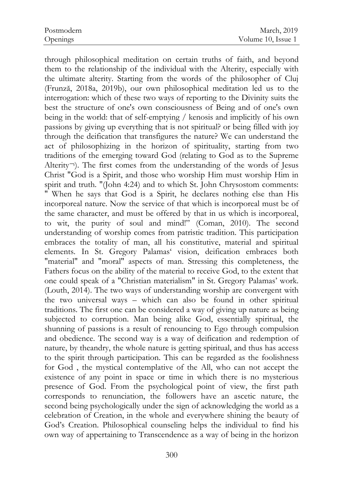through philosophical meditation on certain truths of faith, and beyond them to the relationship of the individual with the Alterity, especially with the ultimate alterity. Starting from the words of the philosopher of Cluj (Frunză, 2018a, 2019b), our own philosophical meditation led us to the interrogation: which of these two ways of reporting to the Divinity suits the best the structure of one's own consciousness of Being and of one's own being in the world: that of self-emptying / kenosis and implicitly of his own passions by giving up everything that is not spiritual? or being filled with joy through the deification that transfigures the nature? We can understand the act of philosophizing in the horizon of spirituality, starting from two traditions of the emerging toward God (relating to God as to the Supreme Alterity $\neg$ ). The first comes from the understanding of the words of Jesus Christ "God is a Spirit, and those who worship Him must worship Him in spirit and truth. "(John 4:24) and to which St. John Chrysostom comments: " When he says that God is a Spirit, he declares nothing else than His incorporeal nature. Now the service of that which is incorporeal must be of the same character, and must be offered by that in us which is incorporeal, to wit, the purity of soul and mind!" (Coman, 2010). The second understanding of worship comes from patristic tradition. This participation embraces the totality of man, all his constitutive, material and spiritual elements. In St. Gregory Palamas' vision, deification embraces both "material" and "moral" aspects of man. Stressing this completeness, the Fathers focus on the ability of the material to receive God, to the extent that one could speak of a "Christian materialism" in St. Gregory Palamas' work. (Louth, 2014). The two ways of understanding worship are convergent with the two universal ways – which can also be found in other spiritual traditions. The first one can be considered a way of giving up nature as being subjected to corruption. Man being alike God, essentially spiritual, the shunning of passions is a result of renouncing to Ego through compulsion and obedience. The second way is a way of deification and redemption of nature, by theandry, the whole nature is getting spiritual, and thus has access to the spirit through participation. This can be regarded as the foolishness for God , the mystical contemplative of the All, who can not accept the existence of any point in space or time in which there is no mysterious presence of God. From the psychological point of view, the first path corresponds to renunciation, the followers have an ascetic nature, the second being psychologically under the sign of acknowledging the world as a celebration of Creation, in the whole and everywhere shining the beauty of God's Creation. Philosophical counseling helps the individual to find his own way of appertaining to Transcendence as a way of being in the horizon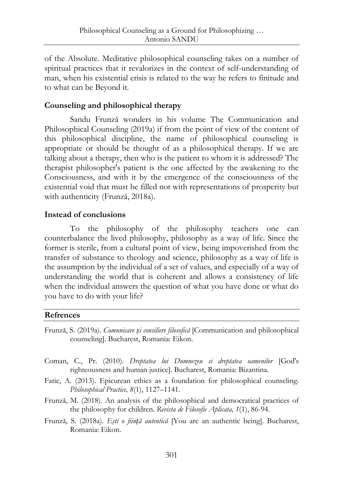of the Absolute. Meditative philosophical counseling takes on a number of spiritual practices that it revalorizes in the context of self-understanding of man, when his existential crisis is related to the way he refers to finitude and to what can be Beyond it.

### **Counseling and philosophical therapy**

Sandu Frunză wonders in his volume The Communication and Philosophical Counseling (2019a) if from the point of view of the content of this philosophical discipline, the name of philosophical counseling is appropriate or should be thought of as a philosophical therapy. If we are talking about a therapy, then who is the patient to whom it is addressed? The therapist philosopher's patient is the one affected by the awakening to the Consciousness, and with it by the emergence of the consciousness of the existential void that must be filled not with representations of prosperity but with authenticity (Frunză, 2018a).

#### **Instead of conclusions**

To the philosophy of the philosophy teachers one can counterbalance the lived philosophy, philosophy as a way of life. Since the former is sterile, from a cultural point of view, being impoverished from the transfer of substance to theology and science, philosophy as a way of life is the assumption by the individual of a set of values, and especially of a way of understanding the world that is coherent and allows a consistency of life when the individual answers the question of what you have done or what do you have to do with your life?

#### **Refrences**

- Frunză, S. (2019a). *Comunicare și consiliere filosofică* [Communication and philosophical counseling]. Bucharest, Romania: Eikon.
- Coman, C., Pr. (2010). *Dreptatea lui Dumnezeu si dreptatea oamenilor* [God's righteousness and human justice]. Bucharest, Romania: Bizantina.
- Fatic, A. (2013). Epicurean ethics as a foundation for philosophical counseling. *Philosophical Practice, 8*(1), 1127–1141.
- Frunză, M. (2018). An analysis of the philosophical and democratical practices of the philosophy for children. *Revista de Filosofie Aplicata, 1*(1), 86-94.
- Frunză, S. (2018a). *Eşti o ființă autentică* [You are an authentic being]. Bucharest, Romania: Eikon.